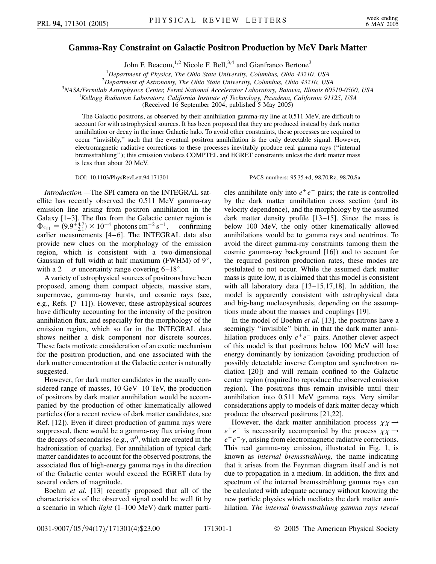## **Gamma-Ray Constraint on Galactic Positron Production by MeV Dark Matter**

John F. Beacom,<sup>1,2</sup> Nicole F. Bell,<sup>3,4</sup> and Gianfranco Bertone<sup>3</sup>

<sup>1</sup> Department of Physics, The Ohio State University, Columbus, Ohio 43210, USA<br><sup>2</sup> Department of Astronomy, The Ohio State University, Columbus, Ohio 43210, US

<sup>2</sup>Department of Astronomy, The Ohio State University, Columbus, Ohio 43210, USA

<sup>3</sup>NASA/Fermilab Astrophysics Center, Fermi National Accelerator Laboratory, Batavia, Illinois 60510-0500, USA

*Kellogg Radiation Laboratory, California Institute of Technology, Pasadena, California 91125, USA*

(Received 16 September 2004; published 5 May 2005)

The Galactic positrons, as observed by their annihilation gamma-ray line at 0.511 MeV, are difficult to account for with astrophysical sources. It has been proposed that they are produced instead by dark matter annihilation or decay in the inner Galactic halo. To avoid other constraints, these processes are required to occur ''invisibly,'' such that the eventual positron annihilation is the only detectable signal. However, electromagnetic radiative corrections to these processes inevitably produce real gamma rays (''internal bremsstrahlung''); this emission violates COMPTEL and EGRET constraints unless the dark matter mass is less than about 20 MeV.

DOI: 10.1103/PhysRevLett.94.171301 PACS numbers: 95.35.+d, 98.70.Rz, 98.70.Sa

*Introduction.—*The SPI camera on the INTEGRAL satellite has recently observed the 0.511 MeV gamma-ray emission line arising from positron annihilation in the Galaxy  $[1-3]$ . The flux from the Galactic center region is  $\Phi_{511} = (9.9^{+4.7}_{-2.1}) \times 10^{-4}$  photons cm<sup>-2</sup> s<sup>-1</sup>, confirming earlier measurements [4–6]. The INTEGRAL data also provide new clues on the morphology of the emission region, which is consistent with a two-dimensional Gaussian of full width at half maximum (FWHM) of  $9^\circ$ , with a  $2 - \sigma$  uncertainty range covering  $6-18^{\circ}$ .

A variety of astrophysical sources of positrons have been proposed, among them compact objects, massive stars, supernovae, gamma-ray bursts, and cosmic rays (see, e.g., Refs. [7–11]). However, these astrophysical sources have difficulty accounting for the intensity of the positron annihilation flux, and especially for the morphology of the emission region, which so far in the INTEGRAL data shows neither a disk component nor discrete sources. These facts motivate consideration of an exotic mechanism for the positron production, and one associated with the dark matter concentration at the Galactic center is naturally suggested.

However, for dark matter candidates in the usually considered range of masses, 10 GeV–10 TeV, the production of positrons by dark matter annihilation would be accompanied by the production of other kinematically allowed particles (for a recent review of dark matter candidates, see Ref. [12]). Even if direct production of gamma rays were suppressed, there would be a gamma-ray flux arising from the decays of secondaries (e.g.,  $\pi^0$ , which are created in the hadronization of quarks). For annihilation of typical dark matter candidates to account for the observed positrons, the associated flux of high-energy gamma rays in the direction of the Galactic center would exceed the EGRET data by several orders of magnitude.

Boehm *et al.* [13] recently proposed that all of the characteristics of the observed signal could be well fit by a scenario in which *light* (1–100 MeV) dark matter particles annihilate only into  $e^+e^-$  pairs; the rate is controlled by the dark matter annihilation cross section (and its velocity dependence), and the morphology by the assumed dark matter density profile [13–15]. Since the mass is below 100 MeV, the only other kinematically allowed annihilations would be to gamma rays and neutrinos. To avoid the direct gamma-ray constraints (among them the cosmic gamma-ray background [16]) and to account for the required positron production rates, these modes are postulated to not occur. While the assumed dark matter mass is quite low, it is claimed that this model is consistent with all laboratory data [13–15,17,18]. In addition, the model is apparently consistent with astrophysical data and big-bang nucleosynthesis, depending on the assumptions made about the masses and couplings [19].

In the model of Boehm *et al.* [13], the positrons have a seemingly "invisible" birth, in that the dark matter annihilation produces only  $e^+e^-$  pairs. Another clever aspect of this model is that positrons below 100 MeV will lose energy dominantly by ionization (avoiding production of possibly detectable inverse Compton and synchrotron radiation [20]) and will remain confined to the Galactic center region (required to reproduce the observed emission region). The positrons thus remain invisible until their annihilation into 0.511 MeV gamma rays. Very similar considerations apply to models of dark matter decay which produce the observed positrons [21,22].

However, the dark matter annihilation process  $\chi \chi \rightarrow$  $e^+e^-$  is necessarily accompanied by the process  $\chi\chi \rightarrow$  $e^+e^- \gamma$ , arising from electromagnetic radiative corrections. This real gamma-ray emission, illustrated in Fig. 1, is known as *internal bremsstrahlung,* the name indicating that it arises from the Feynman diagram itself and is not due to propagation in a medium. In addition, the flux and spectrum of the internal bremsstrahlung gamma rays can be calculated with adequate accuracy without knowing the new particle physics which mediates the dark matter annihilation. *The internal bremsstrahlung gamma rays reveal*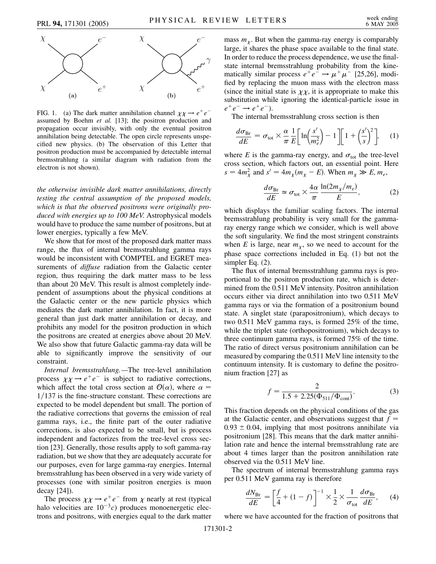

FIG. 1. (a) The dark matter annihilation channel  $\chi \chi \rightarrow e^+ e^$ assumed by Boehm *et al.* [13]; the positron production and propagation occur invisibly, with only the eventual positron annihilation being detectable. The open circle represents unspecified new physics. (b) The observation of this Letter that positron production must be accompanied by detectable internal bremsstrahlung (a similar diagram with radiation from the electron is not shown).

*the otherwise invisible dark matter annihilations, directly testing the central assumption of the proposed models, which is that the observed positrons were originally produced with energies up to 100 MeV*. Astrophysical models would have to produce the same number of positrons, but at lower energies, typically a few MeV.

We show that for most of the proposed dark matter mass range, the flux of internal bremsstrahlung gamma rays would be inconsistent with COMPTEL and EGRET measurements of *diffuse* radiation from the Galactic center region, thus requiring the dark matter mass to be less than about 20 MeV. This result is almost completely independent of assumptions about the physical conditions at the Galactic center or the new particle physics which mediates the dark matter annihilation. In fact, it is more general than just dark matter annihilation or decay, and prohibits any model for the positron production in which the positrons are created at energies above about 20 MeV. We also show that future Galactic gamma-ray data will be able to significantly improve the sensitivity of our constraint.

*Internal bremsstrahlung.—*The tree-level annihilation process  $\chi \chi \rightarrow e^+e^-$  is subject to radiative corrections, which affect the total cross section at  $\mathcal{O}(\alpha)$ , where  $\alpha =$ 1/137 is the fine-structure constant. These corrections are expected to be model dependent but small. The portion of the radiative corrections that governs the emission of real gamma rays, i.e., the finite part of the outer radiative corrections, is also expected to be small, but is process independent and factorizes from the tree-level cross section [23]. Generally, those results apply to soft gamma-ray radiation, but we show that they are adequately accurate for our purposes, even for large gamma-ray energies. Internal bremsstrahlung has been observed in a very wide variety of processes (one with similar positron energies is muon decay [24]).

The process  $\chi \chi \rightarrow e^+e^-$  from  $\chi$  nearly at rest (typical halo velocities are  $10^{-3}c$ ) produces monoenergetic electrons and positrons, with energies equal to the dark matter mass  $m<sub>x</sub>$ . But when the gamma-ray energy is comparably large, it shares the phase space available to the final state. In order to reduce the process dependence, we use the finalstate internal bremsstrahlung probability from the kinematically similar process  $e^+e^- \rightarrow \mu^+\mu^-$  [25,26], modified by replacing the muon mass with the electron mass (since the initial state is  $\chi \chi$ , it is appropriate to make this substitution while ignoring the identical-particle issue in  $e^+e^- \rightarrow e^+e^-$ ).

The internal bremsstrahlung cross section is then

$$
\frac{d\sigma_{\text{Br}}}{dE} = \sigma_{\text{tot}} \times \frac{\alpha}{\pi} \frac{1}{E} \left[ \ln \left( \frac{s'}{m_e^2} \right) - 1 \right] \left[ 1 + \left( \frac{s'}{s} \right)^2 \right], \quad (1)
$$

where  $E$  is the gamma-ray energy, and  $\sigma_{\text{tot}}$  the tree-level cross section, which factors out, an essential point. Here  $s = 4m_{\chi}^2$  and  $s' = 4m_{\chi}(m_{\chi} - E)$ . When  $m_{\chi} \gg E, m_e$ ,

$$
\frac{d\sigma_{\text{Br}}}{dE} \simeq \sigma_{\text{tot}} \times \frac{4\alpha}{\pi} \frac{\ln(2m_{\chi}/m_e)}{E},\tag{2}
$$

which displays the familiar scaling factors. The internal bremsstrahlung probability is very small for the gammaray energy range which we consider, which is well above the soft singularity. We find the most stringent constraints when *E* is large, near  $m<sub>x</sub>$ , so we need to account for the phase space corrections included in Eq. (1) but not the simpler Eq. (2).

The flux of internal bremsstrahlung gamma rays is proportional to the positron production rate, which is determined from the 0.511 MeV intensity. Positron annihilation occurs either via direct annihilation into two 0.511 MeV gamma rays or via the formation of a positronium bound state. A singlet state (parapositronium), which decays to two 0.511 MeV gamma rays, is formed 25% of the time, while the triplet state (orthopositronium), which decays to three continuum gamma rays, is formed 75% of the time. The ratio of direct versus positronium annihilation can be measured by comparing the 0.511 MeV line intensity to the continuum intensity. It is customary to define the positronium fraction [27] as

$$
f = \frac{2}{1.5 + 2.25(\Phi_{511}/\Phi_{\text{cont}})}.\tag{3}
$$

This fraction depends on the physical conditions of the gas at the Galactic center, and observations suggest that  $f =$  $0.93 \pm 0.04$ , implying that most positrons annihilate via positronium [28]. This means that the dark matter annihilation rate and hence the internal bremsstrahlung rate are about 4 times larger than the positron annihilation rate observed via the 0.511 MeV line.

The spectrum of internal bremsstrahlung gamma rays per 0.511 MeV gamma ray is therefore

$$
\frac{dN_{\rm Br}}{dE} = \left[\frac{f}{4} + (1-f)\right]^{-1} \times \frac{1}{2} \times \frac{1}{\sigma_{\rm tot}} \frac{d\sigma_{\rm Br}}{dE},\qquad(4)
$$

where we have accounted for the fraction of positrons that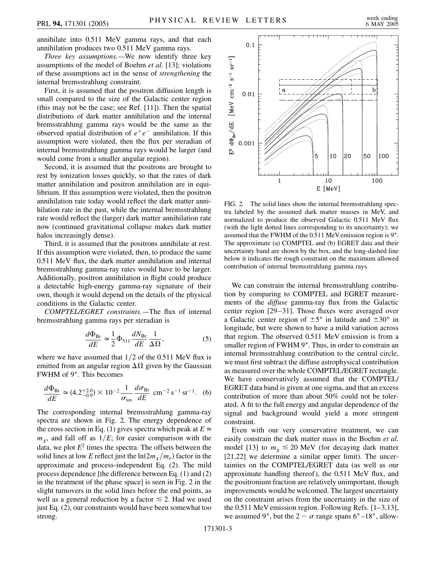annihilate into 0.511 MeV gamma rays, and that each annihilation produces two 0.511 MeV gamma rays.

*Three key assumptions.—*We now identify three key assumptions of the model of Boehm *et al.* [13]; violations of these assumptions act in the sense of *strengthening* the internal bremsstrahlung constraint.

First, it is assumed that the positron diffusion length is small compared to the size of the Galactic center region (this may not be the case; see Ref. [11]). Then the spatial distributions of dark matter annihilation and the internal bremsstrahlung gamma rays would be the same as the observed spatial distribution of  $e^+e^-$  annihilation. If this assumption were violated, then the flux per steradian of internal bremsstrahlung gamma rays would be larger (and would come from a smaller angular region).

Second, it is assumed that the positrons are brought to rest by ionization losses quickly, so that the rates of dark matter annihilation and positron annihilation are in equilibrium. If this assumption were violated, then the positron annihilation rate today would reflect the dark matter annihilation rate in the past, while the internal bremsstrahlung rate would reflect the (larger) dark matter annihilation rate now (continued gravitational collapse makes dark matter halos increasingly dense).

Third, it is assumed that the positrons annihilate at rest. If this assumption were violated, then, to produce the same 0.511 MeV flux, the dark matter annihilation and internal bremsstrahlung gamma-ray rates would have to be larger. Additionally, positron annihilation in flight could produce a detectable high-energy gamma-ray signature of their own, though it would depend on the details of the physical conditions in the Galactic center.

*COMPTEL/EGRET constraints.—*The flux of internal bremsstrahlung gamma rays per steradian is

$$
\frac{d\Phi_{\rm Br}}{dE} \simeq \frac{1}{2} \Phi_{511} \frac{dN_{\rm Br}}{dE} \frac{1}{\Delta\Omega},\tag{5}
$$

where we have assumed that  $1/2$  of the 0.511 MeV flux is emitted from an angular region  $\Delta\Omega$  given by the Gaussian FWHM of 9<sup>°</sup>. This becomes

$$
\frac{d\Phi_{\text{Br}}}{dE} \simeq (4.2^{+2.0}_{-0.9}) \times 10^{-2} \frac{1}{\sigma_{\text{tot}}} \frac{d\sigma_{\text{Br}}}{dE} \text{ cm}^{-2} \text{s}^{-1} \text{ sr}^{-1}. \tag{6}
$$

The corresponding internal bremsstrahlung gamma-ray spectra are shown in Fig. 2. The energy dependence of the cross section in Eq. (1) gives spectra which peak at  $E \approx$  $m<sub>x</sub>$ , and fall off as  $1/E$ ; for easier comparison with the data, we plot  $E^2$  times the spectra. The offsets between the solid lines at low *E* reflect just the  $\ln(2m_{\chi}/m_e)$  factor in the approximate and process-independent Eq. (2). The mild process dependence [the difference between Eq. (1) and (2) in the treatment of the phase space] is seen in Fig. 2 in the slight turnovers in the solid lines before the end points, as well as a general reduction by a factor  $\leq 2$ . Had we used just Eq. (2), our constraints would have been somewhat too strong.



FIG. 2. The solid lines show the internal bremsstrahlung spectra labeled by the assumed dark matter masses in MeV, and normalized to produce the observed Galactic 0.511 MeV flux (with the light dotted lines corresponding to its uncertainty); we assumed that the FWHM of the 0.511 MeV emission region is 9°. The approximate (a) COMPTEL and (b) EGRET data and their uncertainty band are shown by the box, and the long-dashed line below it indicates the rough constraint on the maximum allowed contribution of internal bremsstrahlung gamma rays.

We can constrain the internal bremsstrahlung contribution by comparing to COMPTEL and EGRET measurements of the *diffuse* gamma-ray flux from the Galactic center region [29–31]. Those fluxes were averaged over a Galactic center region of  $\pm 5^{\circ}$  in latitude and  $\pm 30^{\circ}$  in longitude, but were shown to have a mild variation across that region. The observed 0.511 MeV emission is from a smaller region of FWHM 9°. Thus, in order to constrain an internal bremsstrahlung contribution to the central circle, we must first subtract the diffuse astrophysical contribution as measured over the whole COMPTEL/EGRET rectangle. We have conservatively assumed that the COMPTEL/ EGRET data band is given at one sigma, and that an excess contribution of more than about 50% could not be tolerated. A fit to the full energy and angular dependence of the signal and background would yield a more stringent constraint.

Even with our very conservative treatment, we can easily constrain the dark matter mass in the Boehm *et al.* model [13] to  $m_{\chi} \le 20$  MeV (for decaying dark matter [21,22] we determine a similar upper limit). The uncertainties on the COMPTEL/EGRET data (as well as our approximate handling thereof), the 0.511 MeV flux, and the positronium fraction are relatively unimportant, though improvements would be welcomed. The largest uncertainty on the constraint arises from the uncertainty in the size of the 0.511 MeV emission region. Following Refs. [1–3,13], we assumed 9°, but the  $2 - \sigma$  range spans  $6^{\circ} - 18^{\circ}$ , allow